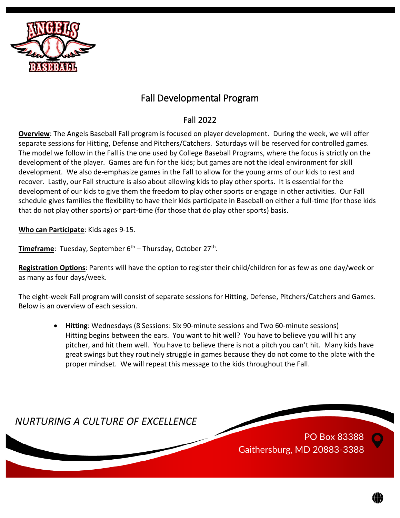

## Fall Developmental Program

## Fall 2022

**Overview**: The Angels Baseball Fall program is focused on player development. During the week, we will offer separate sessions for Hitting, Defense and Pitchers/Catchers. Saturdays will be reserved for controlled games. The model we follow in the Fall is the one used by College Baseball Programs, where the focus is strictly on the development of the player. Games are fun for the kids; but games are not the ideal environment for skill development. We also de-emphasize games in the Fall to allow for the young arms of our kids to rest and recover. Lastly, our Fall structure is also about allowing kids to play other sports. It is essential for the development of our kids to give them the freedom to play other sports or engage in other activities. Our Fall schedule gives families the flexibility to have their kids participate in Baseball on either a full-time (for those kids that do not play other sports) or part-time (for those that do play other sports) basis.

**Who can Participate**: Kids ages 9-15.

Timeframe: Tuesday, September 6<sup>th</sup> – Thursday, October 27<sup>th</sup>.

**Registration Options**: Parents will have the option to register their child/children for as few as one day/week or as many as four days/week.

The eight-week Fall program will consist of separate sessions for Hitting, Defense, Pitchers/Catchers and Games. Below is an overview of each session.

• **Hitting**: Wednesdays (8 Sessions: Six 90-minute sessions and Two 60-minute sessions) Hitting begins between the ears. You want to hit well? You have to believe you will hit any pitcher, and hit them well. You have to believe there is not a pitch you can't hit. Many kids have great swings but they routinely struggle in games because they do not come to the plate with the proper mindset. We will repeat this message to the kids throughout the Fall.

*NURTURING A CULTURE OF EXCELLENCE*

PO Box 83388 Gaithersburg, MD 20883-3388

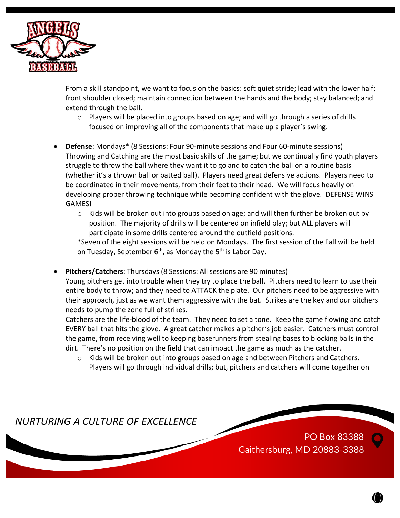

From a skill standpoint, we want to focus on the basics: soft quiet stride; lead with the lower half; front shoulder closed; maintain connection between the hands and the body; stay balanced; and extend through the ball.

- $\circ$  Players will be placed into groups based on age; and will go through a series of drills focused on improving all of the components that make up a player's swing.
- **Defense**: Mondays\* (8 Sessions: Four 90-minute sessions and Four 60-minute sessions) Throwing and Catching are the most basic skills of the game; but we continually find youth players struggle to throw the ball where they want it to go and to catch the ball on a routine basis (whether it's a thrown ball or batted ball). Players need great defensive actions. Players need to be coordinated in their movements, from their feet to their head. We will focus heavily on developing proper throwing technique while becoming confident with the glove. DEFENSE WINS GAMES!
	- $\circ$  Kids will be broken out into groups based on age; and will then further be broken out by position. The majority of drills will be centered on infield play; but ALL players will participate in some drills centered around the outfield positions.

\*Seven of the eight sessions will be held on Mondays. The first session of the Fall will be held on Tuesday, September  $6<sup>th</sup>$ , as Monday the  $5<sup>th</sup>$  is Labor Day.

• **Pitchers/Catchers**: Thursdays (8 Sessions: All sessions are 90 minutes)

Young pitchers get into trouble when they try to place the ball. Pitchers need to learn to use their entire body to throw; and they need to ATTACK the plate. Our pitchers need to be aggressive with their approach, just as we want them aggressive with the bat. Strikes are the key and our pitchers needs to pump the zone full of strikes.

Catchers are the life-blood of the team. They need to set a tone. Keep the game flowing and catch EVERY ball that hits the glove. A great catcher makes a pitcher's job easier. Catchers must control the game, from receiving well to keeping baserunners from stealing bases to blocking balls in the dirt. There's no position on the field that can impact the game as much as the catcher.

 $\circ$  Kids will be broken out into groups based on age and between Pitchers and Catchers. Players will go through individual drills; but, pitchers and catchers will come together on

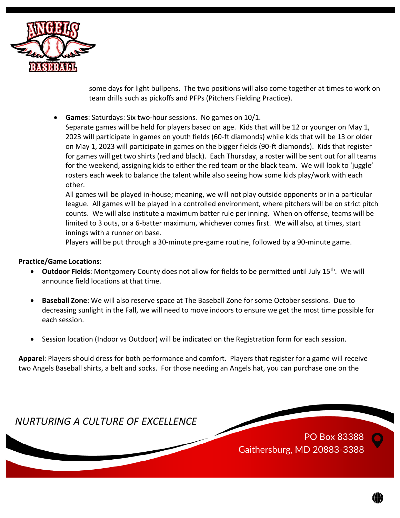

some days for light bullpens. The two positions will also come together at times to work on team drills such as pickoffs and PFPs (Pitchers Fielding Practice).

• **Games**: Saturdays: Six two-hour sessions. No games on 10/1.

Separate games will be held for players based on age. Kids that will be 12 or younger on May 1, 2023 will participate in games on youth fields (60-ft diamonds) while kids that will be 13 or older on May 1, 2023 will participate in games on the bigger fields (90-ft diamonds). Kids that register for games will get two shirts (red and black). Each Thursday, a roster will be sent out for all teams for the weekend, assigning kids to either the red team or the black team. We will look to 'juggle' rosters each week to balance the talent while also seeing how some kids play/work with each other.

All games will be played in-house; meaning, we will not play outside opponents or in a particular league. All games will be played in a controlled environment, where pitchers will be on strict pitch counts. We will also institute a maximum batter rule per inning. When on offense, teams will be limited to 3 outs, or a 6-batter maximum, whichever comes first. We will also, at times, start innings with a runner on base.

Players will be put through a 30-minute pre-game routine, followed by a 90-minute game.

## **Practice/Game Locations**:

- Outdoor Fields: Montgomery County does not allow for fields to be permitted until July 15<sup>th</sup>. We will announce field locations at that time.
- **Baseball Zone**: We will also reserve space at The Baseball Zone for some October sessions. Due to decreasing sunlight in the Fall, we will need to move indoors to ensure we get the most time possible for each session.
- Session location (Indoor vs Outdoor) will be indicated on the Registration form for each session.

**Apparel**: Players should dress for both performance and comfort. Players that register for a game will receive two Angels Baseball shirts, a belt and socks. For those needing an Angels hat, you can purchase one on the

*NURTURING A CULTURE OF EXCELLENCE*

PO Box 83388 Gaithersburg, MD 20883-3388